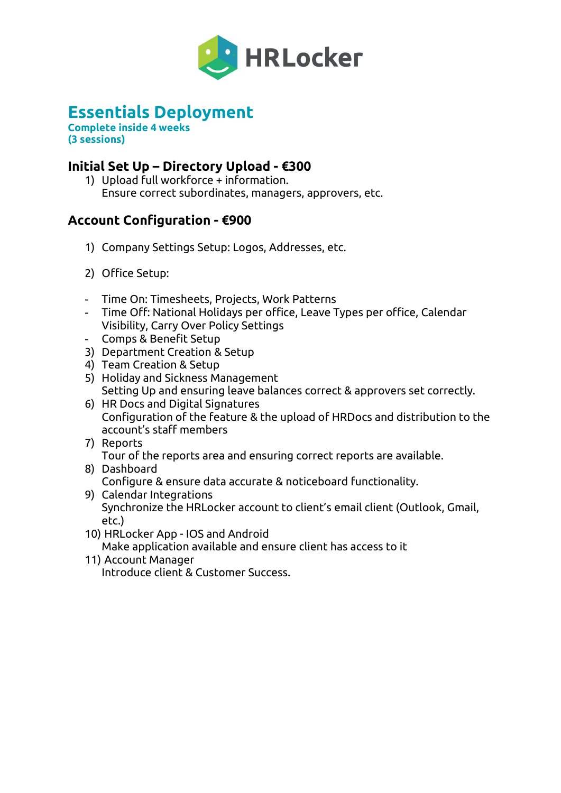

# **Essentials Deployment**

**Complete inside 4 weeks (3 sessions)**

## **Initial Set Up – Directory Upload - €300**

1) Upload full workforce + information. Ensure correct subordinates, managers, approvers, etc.

## **Account Configuration - €900**

- 1) Company Settings Setup: Logos, Addresses, etc.
- 2) Office Setup:
- Time On: Timesheets, Projects, Work Patterns
- Time Off: National Holidays per office, Leave Types per office, Calendar Visibility, Carry Over Policy Settings
- Comps & Benefit Setup
- 3) Department Creation & Setup
- 4) Team Creation & Setup
- 5) Holiday and Sickness Management Setting Up and ensuring leave balances correct & approvers set correctly.
- 6) HR Docs and Digital Signatures Configuration of the feature & the upload of HRDocs and distribution to the account's staff members
- 7) Reports Tour of the reports area and ensuring correct reports are available.
- 8) Dashboard Configure & ensure data accurate & noticeboard functionality.
- 9) Calendar Integrations Synchronize the HRLocker account to client's email client (Outlook, Gmail, etc.)
- 10) HRLocker App IOS and Android Make application available and ensure client has access to it
- 11) Account Manager Introduce client & Customer Success.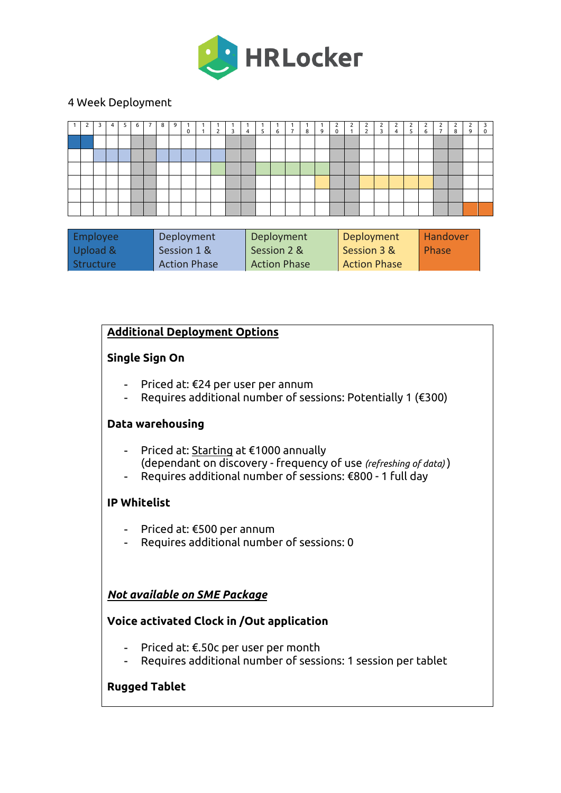

#### 4 Week Deployment

|  | 4 | 5 | 6 | 8 | 9 | $\mathbf 0$ | $\overline{2}$ | 3 | $\overline{4}$ | 5 <sub>1</sub> | 6 | $\overline{7}$ | 8 | 9 | 2<br>$\mathbf 0$ | $\overline{2}$<br>$\mathbf{1}$ | 2<br>$\overline{2}$ | $\overline{2}$ | $\overline{4}$ | 5 <sup>7</sup> | $\overline{2}$<br>6 | $\mathcal{D}$<br>$\overline{7}$ | 2<br>8 | 9 | 3<br>0 |
|--|---|---|---|---|---|-------------|----------------|---|----------------|----------------|---|----------------|---|---|------------------|--------------------------------|---------------------|----------------|----------------|----------------|---------------------|---------------------------------|--------|---|--------|
|  |   |   |   |   |   |             |                |   |                |                |   |                |   |   |                  |                                |                     |                |                |                |                     |                                 |        |   |        |
|  |   |   |   |   |   |             |                |   |                |                |   |                |   |   |                  |                                |                     |                |                |                |                     |                                 |        |   |        |
|  |   |   |   |   |   |             |                |   |                |                |   |                |   |   |                  |                                |                     |                |                |                |                     |                                 |        |   |        |
|  |   |   |   |   |   |             |                |   |                |                |   |                |   |   |                  |                                |                     |                |                |                |                     |                                 |        |   |        |
|  |   |   |   |   |   |             |                |   |                |                |   |                |   |   |                  |                                |                     |                |                |                |                     |                                 |        |   |        |
|  |   |   |   |   |   |             |                |   |                |                |   |                |   |   |                  |                                |                     |                |                |                |                     |                                 |        |   |        |
|  |   |   |   |   |   |             |                |   |                |                |   |                |   |   |                  |                                |                     |                |                | 3 <sub>1</sub> |                     |                                 |        |   |        |

| Employee  | Deployment          | Deployment          | Deployment          | <b>Handover</b> |
|-----------|---------------------|---------------------|---------------------|-----------------|
| Upload &  | Session 1 &         | Session 2 &         | Session 3 &         | l Phase         |
| Structure | <b>Action Phase</b> | <b>Action Phase</b> | <b>Action Phase</b> |                 |

### **Additional Deployment Options**

#### **Single Sign On**

- Priced at: €24 per user per annum
- Requires additional number of sessions: Potentially 1 (€300)

### **Data warehousing**

- Priced at: Starting at €1000 annually (dependant on discovery - frequency of use *(refreshing of data)* )
- Requires additional number of sessions: €800 1 full day

### **IP Whitelist**

- Priced at: €500 per annum
- Requires additional number of sessions: 0

### *Not available on SME Package*

### **Voice activated Clock in /Out application**

- Priced at: €.50c per user per month
- Requires additional number of sessions: 1 session per tablet

### **Rugged Tablet**